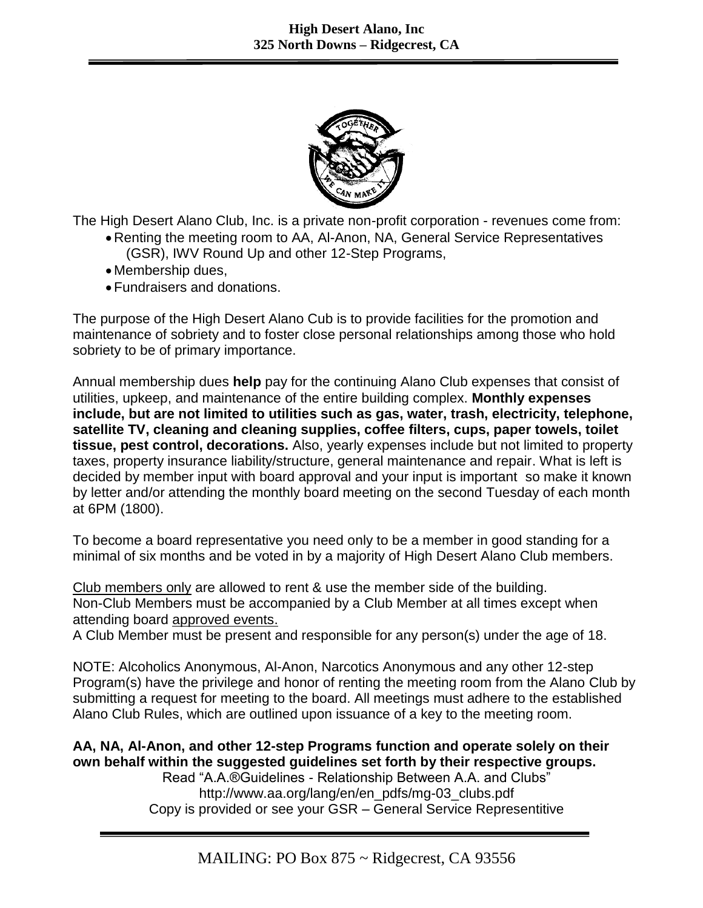

The High Desert Alano Club, Inc. is a private non-profit corporation - revenues come from:

- Renting the meeting room to AA, Al-Anon, NA, General Service Representatives (GSR), IWV Round Up and other 12-Step Programs,
- Membership dues,
- Fundraisers and donations.

The purpose of the High Desert Alano Cub is to provide facilities for the promotion and maintenance of sobriety and to foster close personal relationships among those who hold sobriety to be of primary importance.

Annual membership dues **help** pay for the continuing Alano Club expenses that consist of utilities, upkeep, and maintenance of the entire building complex. **Monthly expenses include, but are not limited to utilities such as gas, water, trash, electricity, telephone, satellite TV, cleaning and cleaning supplies, coffee filters, cups, paper towels, toilet tissue, pest control, decorations.** Also, yearly expenses include but not limited to property taxes, property insurance liability/structure, general maintenance and repair. What is left is decided by member input with board approval and your input is important so make it known by letter and/or attending the monthly board meeting on the second Tuesday of each month at 6PM (1800).

To become a board representative you need only to be a member in good standing for a minimal of six months and be voted in by a majority of High Desert Alano Club members.

Club members only are allowed to rent & use the member side of the building. Non-Club Members must be accompanied by a Club Member at all times except when attending board approved events.

A Club Member must be present and responsible for any person(s) under the age of 18.

NOTE: Alcoholics Anonymous, Al-Anon, Narcotics Anonymous and any other 12-step Program(s) have the privilege and honor of renting the meeting room from the Alano Club by submitting a request for meeting to the board. All meetings must adhere to the established Alano Club Rules, which are outlined upon issuance of a key to the meeting room.

## **AA, NA, Al-Anon, and other 12-step Programs function and operate solely on their own behalf within the suggested guidelines set forth by their respective groups.**

Read "A.A.®Guidelines - Relationship Between A.A. and Clubs" http://www.aa.org/lang/en/en\_pdfs/mg-03\_clubs.pdf Copy is provided or see your GSR – General Service Representitive